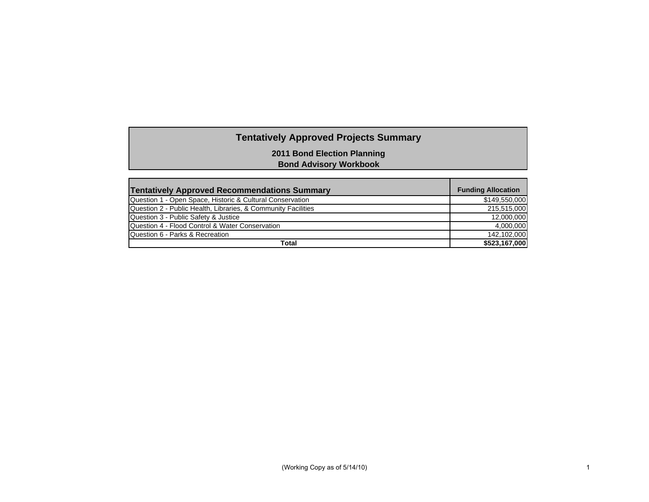# **Tentatively Approved Projects Summary**

**2011 Bond Election Planning**

**Bond Advisory Workbook**

| <b>Tentatively Approved Recommendations Summary</b>           | <b>Funding Allocation</b> |
|---------------------------------------------------------------|---------------------------|
| Question 1 - Open Space, Historic & Cultural Conservation     | \$149,550,000             |
| Question 2 - Public Health, Libraries, & Community Facilities | 215,515,000               |
| Question 3 - Public Safety & Justice                          | 12,000,000                |
| Question 4 - Flood Control & Water Conservation               | 4.000.000                 |
| Question 6 - Parks & Recreation                               | 142.102.000               |
| Total                                                         | \$523,167,000             |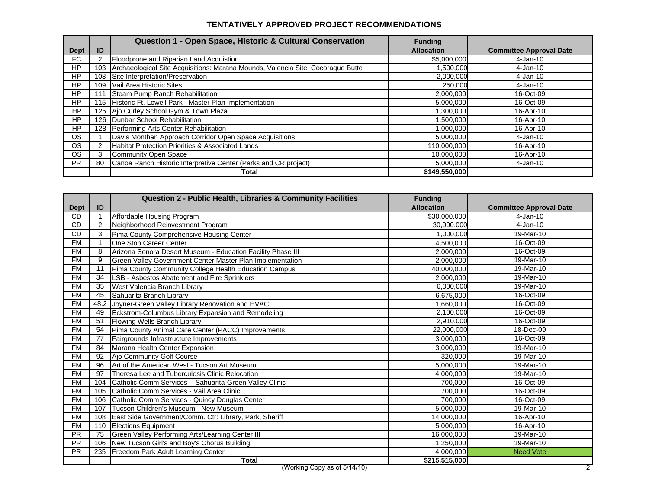#### **TENTATIVELY APPROVED PROJECT RECOMMENDATIONS**

|             |     | Question 1 - Open Space, Historic & Cultural Conservation                       | <b>Funding</b>    |                                |
|-------------|-----|---------------------------------------------------------------------------------|-------------------|--------------------------------|
| <b>Dept</b> | ID  |                                                                                 | <b>Allocation</b> | <b>Committee Approval Date</b> |
| FC.         |     | Floodprone and Riparian Land Acquistion                                         | \$5,000,000       | 4-Jan-10                       |
| HP          | 103 | Archaeological Site Acquisitions: Marana Mounds, Valencia Site, Cocoraque Butte | 1,500,000         | 4-Jan-10                       |
| HP          | 108 | Site Interpretation/Preservation                                                | 2,000,000         | 4-Jan-10                       |
| HP          | 109 | Vail Area Historic Sites                                                        | 250,000           | 4-Jan-10                       |
| HP          |     | Steam Pump Ranch Rehabilitation                                                 | 2,000,000         | 16-Oct-09                      |
| HP          | 115 | Historic Ft. Lowell Park - Master Plan Implementation                           | 5,000,000         | 16-Oct-09                      |
| HP          |     | 125 Ajo Curley School Gym & Town Plaza                                          | 1,300,000         | 16-Apr-10                      |
| HP          |     | 126 Dunbar School Rehabilitation                                                | 1,500,000         | 16-Apr-10                      |
| HP          | 128 | Performing Arts Center Rehabilitation                                           | 1,000,000         | 16-Apr-10                      |
| OS.         |     | Davis Monthan Approach Corridor Open Space Acquisitions                         | 5,000,000         | $4-Jan-10$                     |
| OS.         |     | Habitat Protection Priorities & Associated Lands                                | 110,000,000       | 16-Apr-10                      |
| <b>OS</b>   |     | Community Open Space                                                            | 10,000,000        | 16-Apr-10                      |
| <b>PR</b>   | 80  | Canoa Ranch Historic Interpretive Center (Parks and CR project)                 | 5,000,000         | $4-Jan-10$                     |
|             |     | Total                                                                           | \$149,550,000     |                                |

|             |                 | Question 2 - Public Health, Libraries & Community Facilities |                   |                                |
|-------------|-----------------|--------------------------------------------------------------|-------------------|--------------------------------|
| <b>Dept</b> | ID              |                                                              | <b>Allocation</b> | <b>Committee Approval Date</b> |
| <b>CD</b>   |                 | Affordable Housing Program                                   | \$30,000,000      | $4-Jan-10$                     |
| <b>CD</b>   | 2               | Neighborhood Reinvestment Program                            | 30,000,000        | $4-Jan-10$                     |
| <b>CD</b>   | 3               | Pima County Comprehensive Housing Center                     | 1,000,000         | 19-Mar-10                      |
| <b>FM</b>   |                 | One Stop Career Center                                       | 4.500.000         | 16-Oct-09                      |
| <b>FM</b>   | 8               | Arizona Sonora Desert Museum - Education Facility Phase III  | 2,000,000         | 16-Oct-09                      |
| <b>FM</b>   | 9               | Green Valley Government Center Master Plan Implementation    | 2,000,000         | 19-Mar-10                      |
| <b>FM</b>   | 11              | Pima County Community College Health Education Campus        | 40.000.000        | 19-Mar-10                      |
| <b>FM</b>   | 34              | LSB - Asbestos Abatement and Fire Sprinklers                 | 2,000,000         | 19-Mar-10                      |
| <b>FM</b>   | 35              | West Valencia Branch Library                                 | 6,000,000         | 19-Mar-10                      |
| <b>FM</b>   | 45              | Sahuarita Branch Library                                     | 6,675,000         | 16-Oct-09                      |
| <b>FM</b>   | 48.2            | Joyner-Green Valley Library Renovation and HVAC              | 1,660,000         | 16-Oct-09                      |
| <b>FM</b>   | 49              | Eckstrom-Columbus Library Expansion and Remodeling           | 2,100,000         | 16-Oct-09                      |
| <b>FM</b>   | 51              | Flowing Wells Branch Library                                 | 2,910,000         | 16-Oct-09                      |
| <b>FM</b>   | 54              | Pima County Animal Care Center (PACC) Improvements           | 22,000,000        | 18-Dec-09                      |
| <b>FM</b>   | 77              | Fairgrounds Infrastructure Improvements                      | 3,000,000         | 16-Oct-09                      |
| <b>FM</b>   | 84              | Marana Health Center Expansion                               | 3,000,000         | 19-Mar-10                      |
| <b>FM</b>   | $\overline{92}$ | Ajo Community Golf Course                                    | 320,000           | 19-Mar-10                      |
| <b>FM</b>   | 96              | Art of the American West - Tucson Art Museum                 | 5,000,000         | 19-Mar-10                      |
| <b>FM</b>   | 97              | Theresa Lee and Tuberculosis Clinic Relocation               | 4,000,000         | 19-Mar-10                      |
| <b>FM</b>   | 104             | Catholic Comm Services - Sahuarita-Green Valley Clinic       | 700,000           | 16-Oct-09                      |
| <b>FM</b>   | 105             | Catholic Comm Services - Vail Area Clinic                    | 700,000           | 16-Oct-09                      |
| <b>FM</b>   | 106             | Catholic Comm Services - Quincy Douglas Center               | 700,000           | 16-Oct-09                      |
| <b>FM</b>   | 107             | Tucson Children's Museum - New Museum                        | 5,000,000         | 19-Mar-10                      |
| <b>FM</b>   | 108             | East Side Government/Comm. Ctr: Library, Park, Sheriff       | 14,000,000        | 16-Apr-10                      |
| <b>FM</b>   | 110             | <b>Elections Equipment</b>                                   | 5,000,000         | 16-Apr-10                      |
| <b>PR</b>   | 75              | Green Valley Performing Arts/Learning Center III             | 16,000,000        | 19-Mar-10                      |
| <b>PR</b>   | 106             | New Tucson Girl's and Boy's Chorus Building                  | 1,250,000         | 19-Mar-10                      |
| <b>PR</b>   | 235             | Freedom Park Adult Learning Center                           | 4,000,000         | <b>Need Vote</b>               |
|             |                 | <b>Total</b>                                                 | \$215,515,000     |                                |
|             |                 | (Working Copy as of 5/14/10)                                 |                   | 2                              |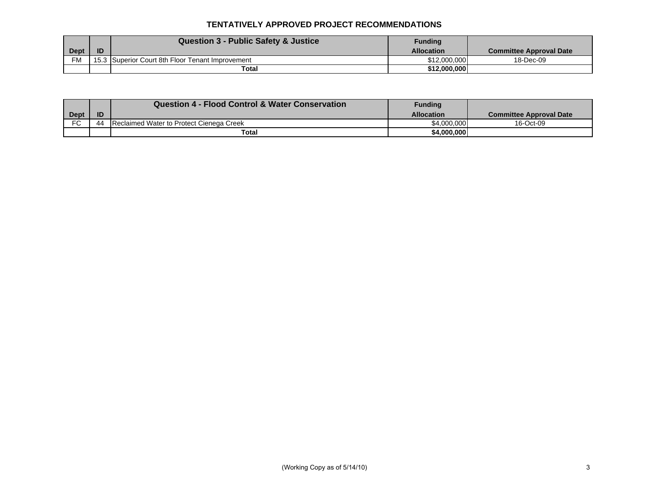#### **TENTATIVELY APPROVED PROJECT RECOMMENDATIONS**

|             |    | Question 3 - Public Safety & Justice             | <b>Funding</b>    |                         |
|-------------|----|--------------------------------------------------|-------------------|-------------------------|
| <b>Dept</b> | ID |                                                  | <b>Allocation</b> | Committee Approval Date |
| <b>FM</b>   |    | 15.3 Superior Court 8th Floor Tenant Improvement | \$12,000,000      | 18-Dec-09               |
|             |    | Total                                            | \$12,000,000      |                         |

|           |    | <b>Question 4 - Flood Control &amp; Water Conservation</b> | <b>Funding</b>    |                                |
|-----------|----|------------------------------------------------------------|-------------------|--------------------------------|
| Dept      | ID |                                                            | <b>Allocation</b> | <b>Committee Approval Date</b> |
| <b>FC</b> | 44 | Reclaimed Water to Protect Cienega Creek                   | \$4,000,000       | 16-Oct-09                      |
|           |    | Total                                                      | \$4.000.000       |                                |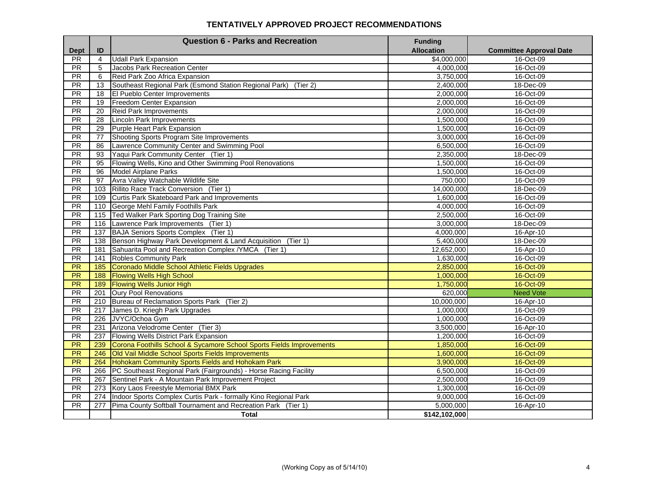#### **TENTATIVELY APPROVED PROJECT RECOMMENDATIONS**

|                 |                | <b>Question 6 - Parks and Recreation</b>                             | <b>Funding</b>         |                                |
|-----------------|----------------|----------------------------------------------------------------------|------------------------|--------------------------------|
| <b>Dept</b>     | ID             |                                                                      | <b>Allocation</b>      | <b>Committee Approval Date</b> |
| PR<br>PR        | $\overline{4}$ | <b>Udall Park Expansion</b>                                          | \$4,000,000            | 16-Oct-09                      |
|                 | 5              | Jacobs Park Recreation Center                                        | 4,000,000              | 16-Oct-09                      |
| <b>PR</b><br>PR | 6              | Reid Park Zoo Africa Expansion                                       | 3,750,000<br>2,400,000 | 16-Oct-09<br>18-Dec-09         |
| $\overline{PR}$ | 13             | Southeast Regional Park (Esmond Station Regional Park)<br>(Tier 2)   |                        |                                |
| $\overline{PR}$ | 18             | El Pueblo Center Improvements<br>Freedom Center Expansion            | 2,000,000<br>2,000,000 | 16-Oct-09                      |
| <b>PR</b>       | 19             |                                                                      | 2,000,000              | 16-Oct-09                      |
|                 | 20             | <b>Reid Park Improvements</b>                                        |                        | 16-Oct-09                      |
| PR              | 28             | <b>Lincoln Park Improvements</b>                                     | 1,500,000              | 16-Oct-09                      |
| PR              | 29             | Purple Heart Park Expansion                                          | 1,500,000              | 16-Oct-09                      |
| $\overline{PR}$ | 77             | Shooting Sports Program Site Improvements                            | 3,000,000              | 16-Oct-09                      |
| PR              | 86             | Lawrence Community Center and Swimming Pool                          | 6,500,000              | 16-Oct-09                      |
| PR              | 93             | Yaqui Park Community Center (Tier 1)                                 | 2,350,000              | 18-Dec-09                      |
| $\overline{PR}$ | 95             | Flowing Wells, Kino and Other Swimming Pool Renovations              | 1,500,000              | 16-Oct-09                      |
| PR              | 96             | <b>Model Airplane Parks</b>                                          | 1,500,000              | 16-Oct-09                      |
| PR              | 97             | Avra Valley Watchable Wildlife Site                                  | 750,000                | 16-Oct-09                      |
| <b>PR</b>       | 103            | Rillito Race Track Conversion (Tier 1)                               | 14.000.000             | 18-Dec-09                      |
| PR              | 109            | Curtis Park Skateboard Park and Improvements                         | 1,600,000              | 16-Oct-09                      |
| PR              | 110            | George Mehl Family Foothills Park                                    | 4,000,000              | 16-Oct-09                      |
| $\overline{PR}$ | 115            | Ted Walker Park Sporting Dog Training Site                           | 2,500,000              | 16-Oct-09                      |
| PR              | 116            | Lawrence Park Improvements (Tier 1)                                  | 3,000,000              | 18-Dec-09                      |
| PR              | 137            | BAJA Seniors Sports Complex (Tier 1)                                 | 4,000,000              | 16-Apr-10                      |
| PR              | 138            | Benson Highway Park Development & Land Acquisition (Tier 1)          | 5,400,000              | 18-Dec-09                      |
| PR              | 181            | Sahuarita Pool and Recreation Complex / YMCA (Tier 1)                | 12,652,000             | 16-Apr-10                      |
| $\overline{PR}$ | 141            | <b>Robles Community Park</b>                                         | 1,630,000              | 16-Oct-09                      |
| PR              | 185            | Coronado Middle School Athletic Fields Upgrades                      | 2,850,000              | 16-Oct-09                      |
| PR              | 188            | <b>Flowing Wells High School</b>                                     | 1,000,000              | 16-Oct-09                      |
| PR              | 189            | <b>Flowing Wells Junior High</b>                                     | 1,750,000              | 16-Oct-09                      |
| $\overline{PR}$ | 201            | <b>Oury Pool Renovations</b>                                         | 620,000                | <b>Need Vote</b>               |
| $\overline{PR}$ | 210            | Bureau of Reclamation Sports Park (Tier 2)                           | 10,000,000             | 16-Apr-10                      |
| <b>PR</b>       | 217            | James D. Kriegh Park Upgrades                                        | 1,000,000              | 16-Oct-09                      |
| PR              | 226            | JVYC/Ochoa Gym                                                       | 1,000,000              | 16-Oct-09                      |
| $\overline{PR}$ | 231            | Arizona Velodrome Center (Tier 3)                                    | 3,500,000              | 16-Apr-10                      |
| PR              | 237            | Flowing Wells District Park Expansion                                | 1,200,000              | 16-Oct-09                      |
| PR              | 239            | Corona Foothills School & Sycamore School Sports Fields Improvements | 1,850,000              | 16-Oct-09                      |
| <b>PR</b>       | 246            | Old Vail Middle School Sports Fields Improvements                    | 1,600,000              | 16-Oct-09                      |
| PR              | 264            | Hohokam Community Sports Fields and Hohokam Park                     | 3,900,000              | 16-Oct-09                      |
| PR              | 266            | PC Southeast Regional Park (Fairgrounds) - Horse Racing Facility     | 6,500,000              | 16-Oct-09                      |
| <b>PR</b>       | 267            | Sentinel Park - A Mountain Park Improvement Project                  | 2,500,000              | 16-Oct-09                      |
| PR              | 273            | Kory Laos Freestyle Memorial BMX Park                                | 1,300,000              | 16-Oct-09                      |
| PR              | 274            | Indoor Sports Complex Curtis Park - formally Kino Regional Park      | 9,000,000              | 16-Oct-09                      |
| <b>PR</b>       | 277            | Pima County Softball Tournament and Recreation Park (Tier 1)         | 5,000,000              | 16-Apr-10                      |
|                 |                | <b>Total</b>                                                         | \$142,102,000          |                                |
|                 |                |                                                                      |                        |                                |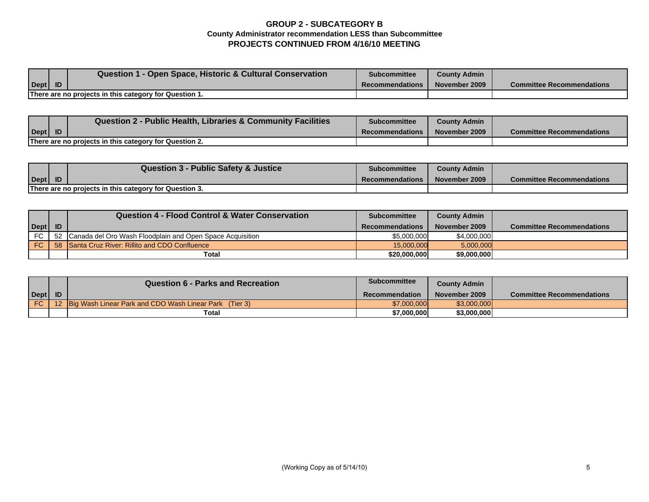### **GROUP 2 - SUBCATEGORY B County Administrator recommendation LESS than Subcommittee PROJECTS CONTINUED FROM 4/16/10 MEETING**

|                                                        |  | Question 1 - Open Space, Historic & Cultural Conservation | <b>Subcommittee</b>    | <b>County Admin</b> |                                  |
|--------------------------------------------------------|--|-----------------------------------------------------------|------------------------|---------------------|----------------------------------|
| $\text{Depth}$ ID                                      |  |                                                           | <b>Recommendations</b> | November 2009       | <b>Committee Recommendations</b> |
| There are no projects in this category for Question 1. |  |                                                           |                        |                     |                                  |

|                      | Question 2 - Public Health, Libraries & Community Facilities | <b>Subcommittee</b>    | <b>County Admin</b> |                                  |
|----------------------|--------------------------------------------------------------|------------------------|---------------------|----------------------------------|
| $\vert$ Dept $\vert$ |                                                              | <b>Recommendations</b> | November 2009       | <b>Committee Recommendations</b> |
|                      | There are no projects in this category for Question 2.       |                        |                     |                                  |

|                                                        |  | Question 3 - Public Safety & Justice | <b>Subcommittee</b>    | <b>County Admin</b> |                                  |
|--------------------------------------------------------|--|--------------------------------------|------------------------|---------------------|----------------------------------|
| Dept                                                   |  |                                      | <b>Recommendations</b> | November 2009       | <b>Committee Recommendations</b> |
| There are no projects in this category for Question 3. |  |                                      |                        |                     |                                  |

|           |           | Question 4 - Flood Control & Water Conservation              | <b>Subcommittee</b>    | <b>County Admin</b> |                                  |
|-----------|-----------|--------------------------------------------------------------|------------------------|---------------------|----------------------------------|
| Dept      | <b>ID</b> |                                                              | <b>Recommendations</b> | November 2009       | <b>Committee Recommendations</b> |
| FC.       |           | 52 Canada del Oro Wash Floodplain and Open Space Acquisition | \$5,000,000            | \$4,000,000         |                                  |
| <b>FC</b> | 58        | Santa Cruz River: Rillito and CDO Confluence                 | 15.000.000             | 5.000.000           |                                  |
|           |           | <b>Total</b>                                                 | \$20,000,000           | \$9,000,000         |                                  |

|           |           | <b>Question 6 - Parks and Recreation</b>                      | <b>Subcommittee</b> | <b>County Admin</b> |                                  |
|-----------|-----------|---------------------------------------------------------------|---------------------|---------------------|----------------------------------|
| Dept      | <b>ID</b> |                                                               | Recommendation      | November 2009       | <b>Committee Recommendations</b> |
| <b>FC</b> |           | <b>Big Wash Linear Park and CDO Wash Linear Park</b> (Tier 3) | \$7,000,000         | \$3,000,000         |                                  |
|           |           | Total                                                         | \$7,000,000         | \$3,000,000         |                                  |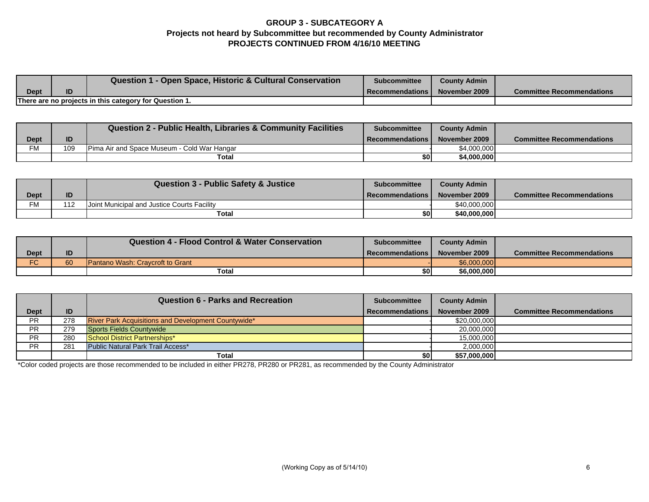## **GROUP 3 - SUBCATEGORY A Projects not heard by Subcommittee but recommended by County Administrator PROJECTS CONTINUED FROM 4/16/10 MEETING**

|      |    | <b>Question 1 - Open Space, Historic &amp; Cultural Conservation</b> | <b>Subcommittee</b> | <b>County Admin</b> |                                  |
|------|----|----------------------------------------------------------------------|---------------------|---------------------|----------------------------------|
| Dept | ID |                                                                      | Recommendations I   | November 2009       | <b>Committee Recommendations</b> |
|      |    | There are no projects in this category for Question 1.               |                     |                     |                                  |

|           |     | <b>Question 2 - Public Health, Libraries &amp; Community Facilities</b> | <b>Subcommittee</b>      | <b>County Admin</b> |                                  |
|-----------|-----|-------------------------------------------------------------------------|--------------------------|---------------------|----------------------------------|
| Dept      | ID  |                                                                         | <b>I</b> Recommendations | November 2009       | <b>Committee Recommendations</b> |
| <b>FM</b> | 109 | <b>IPima Air and Space Museum - Cold War Hangar</b>                     |                          | \$4,000,000         |                                  |
|           |     | Total                                                                   | \$OI                     | \$4,000,000         |                                  |

|      |     | <b>Question 3 - Public Safety &amp; Justice</b>    | <b>Subcommittee</b> | <b>County Admin</b> |                                  |
|------|-----|----------------------------------------------------|---------------------|---------------------|----------------------------------|
| Dept | ID  |                                                    | Recommendations I   | November 2009       | <b>Committee Recommendations</b> |
| FM   | 112 | <b>Joint Municipal and Justice Courts Facility</b> |                     | \$40,000,000        |                                  |
|      |     | Total                                              |                     | \$40,000,000        |                                  |

|             |    | <b>Question 4 - Flood Control &amp; Water Conservation</b> | <b>Subcommittee</b>      | <b>County Admin</b> |                                  |
|-------------|----|------------------------------------------------------------|--------------------------|---------------------|----------------------------------|
| <b>Dept</b> | ID |                                                            | <b>I</b> Recommendations | November 2009       | <b>Committee Recommendations</b> |
| <b>FC</b>   | 60 | <b>Pantano Wash: Cravcroft to Grant</b>                    |                          | \$6,000,000         |                                  |
|             |    | Total                                                      | \$0I                     | \$6,000,000         |                                  |

|             |     | <b>Question 6 - Parks and Recreation</b>            | <b>Subcommittee</b>    | <b>County Admin</b> |                                  |
|-------------|-----|-----------------------------------------------------|------------------------|---------------------|----------------------------------|
| <b>Dept</b> | ID  |                                                     | <b>Recommendations</b> | November 2009       | <b>Committee Recommendations</b> |
| PR          | 278 | River Park Acquisitions and Development Countywide* |                        | \$20,000,000        |                                  |
| PR.         | 279 | <b>Sports Fields Countywide</b>                     |                        | 20,000,000          |                                  |
| PR          | 280 | School District Partnerships*                       |                        | 15,000,000          |                                  |
| PR.         | 281 | Public Natural Park Trail Access*                   |                        | 2,000,000           |                                  |
|             |     | <b>Total</b>                                        | \$0                    | \$57,000,000        |                                  |

\*Color coded projects are those recommended to be included in either PR278, PR280 or PR281, as recommended by the County Administrator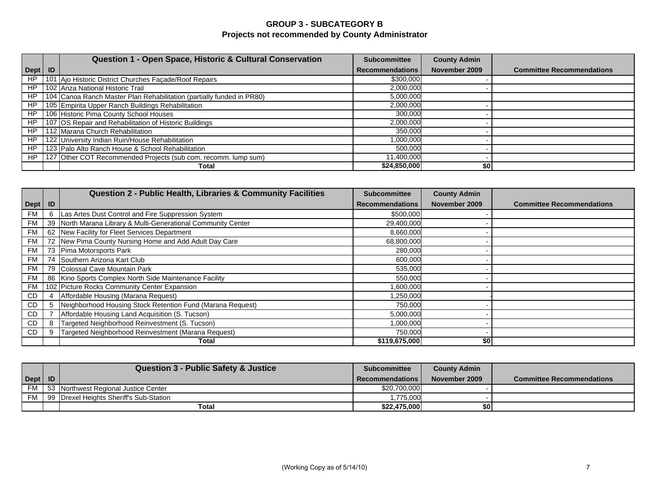## **GROUP 3 - SUBCATEGORY B Projects not recommended by County Administrator**

|           | Question 1 - Open Space, Historic & Cultural Conservation             | <b>Subcommittee</b>    | <b>County Admin</b> |                                  |
|-----------|-----------------------------------------------------------------------|------------------------|---------------------|----------------------------------|
| Dept   ID |                                                                       | <b>Recommendations</b> | November 2009       | <b>Committee Recommendations</b> |
| <b>HP</b> | 101 Ajo Historic District Churches Façade/Roof Repairs                | \$300,000              |                     |                                  |
| HP        | 102 Anza National Historic Trail                                      | 2,000,000              |                     |                                  |
| HP        | 104 Canoa Ranch Master Plan Rehabilitation (partially funded in PR80) | 5,000,000              |                     |                                  |
| HP        | 105 Empirita Upper Ranch Buildings Rehabilitation                     | 2,000,000              |                     |                                  |
| HP        | 106 Historic Pima County School Houses                                | 300,000                |                     |                                  |
| HP        | 107 OS Repair and Rehabilitation of Historic Buildings                | 2,000,000              |                     |                                  |
| HP        | 112 Marana Church Rehabilitation                                      | 350,000                |                     |                                  |
| HP        | 122 University Indian Ruin/House Rehabilitation                       | 1,000,000              |                     |                                  |
| HP        | 123 Palo Alto Ranch House & School Rehabilitation                     | 500.000                |                     |                                  |
| HP        | 127 Other COT Recommended Projects (sub com. recomm. lump sum)        | 11,400,000             |                     |                                  |
|           | Total                                                                 | \$24,850,000           | \$0                 |                                  |

|           |    | <b>Question 2 - Public Health, Libraries &amp; Community Facilities</b> | <b>Subcommittee</b>    | <b>County Admin</b> |                                  |
|-----------|----|-------------------------------------------------------------------------|------------------------|---------------------|----------------------------------|
| Dept      | ID |                                                                         | <b>Recommendations</b> | November 2009       | <b>Committee Recommendations</b> |
| <b>FM</b> | 6  | Las Artes Dust Control and Fire Suppression System                      | \$500,000              |                     |                                  |
| <b>FM</b> |    | 39 North Marana Library & Multi-Generational Community Center           | 29,400,000             |                     |                                  |
| <b>FM</b> |    | 62 New Facility for Fleet Services Department                           | 8,660,000              |                     |                                  |
| <b>FM</b> |    | 72 New Pima County Nursing Home and Add Adult Day Care                  | 68,800,000             |                     |                                  |
| FM        |    | 73 Pima Motorsports Park                                                | 280,000                |                     |                                  |
| <b>FM</b> |    | 74 Southern Arizona Kart Club                                           | 600,000                |                     |                                  |
| <b>FM</b> |    | 79 Colossal Cave Mountain Park                                          | 535,000                |                     |                                  |
| FM        |    | 86 Kino Sports Complex North Side Maintenance Facility                  | 550,000                |                     |                                  |
| <b>FM</b> |    | 102 Picture Rocks Community Center Expansion                            | 1,600,000              |                     |                                  |
| <b>CD</b> |    | Affordable Housing (Marana Request)                                     | 1,250,000              |                     |                                  |
| CD        | 5  | Neighborhood Housing Stock Retention Fund (Marana Request)              | 750,000                |                     |                                  |
| CD.       |    | Affordable Housing Land Acquisition (S. Tucson)                         | 5,000,000              |                     |                                  |
| CD        | 8  | Targeted Neighborhood Reinvestment (S. Tucson)                          | 1,000,000              |                     |                                  |
| <b>CD</b> |    | Targeted Neighborhood Reinvestment (Marana Request)                     | 750,000                |                     |                                  |
|           |    | Total                                                                   | \$119,675,000          | \$O                 |                                  |

|                   | <b>Question 3 - Public Safety &amp; Justice</b> | <b>Subcommittee</b> | <b>County Admin</b> |                                  |
|-------------------|-------------------------------------------------|---------------------|---------------------|----------------------------------|
| $\text{Depth}$ ID |                                                 | Recommendations     | November 2009       | <b>Committee Recommendations</b> |
| FM                | 53 Northwest Regional Justice Center            | \$20,700,000        |                     |                                  |
| <b>FM</b>         | 99 Drexel Heights Sheriff's Sub-Station         | .775.000            |                     |                                  |
|                   | Total                                           | \$22.475.000        | \$0                 |                                  |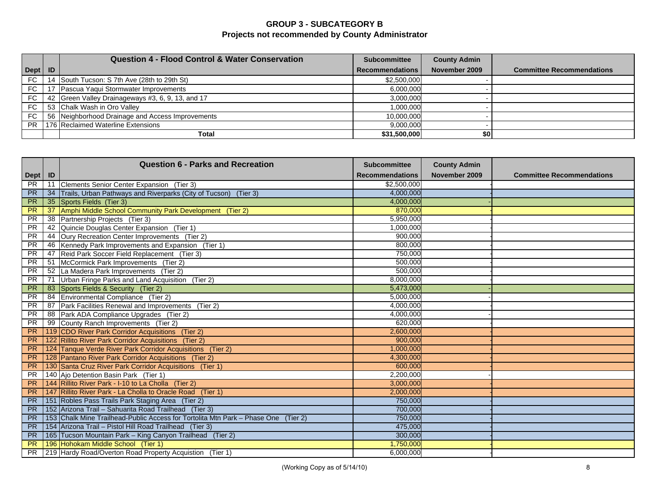## **GROUP 3 - SUBCATEGORY B Projects not recommended by County Administrator**

|           |    | <b>Question 4 - Flood Control &amp; Water Conservation</b> | <b>Subcommittee</b>    | <b>County Admin</b> |                                  |
|-----------|----|------------------------------------------------------------|------------------------|---------------------|----------------------------------|
| Dept   ID |    |                                                            | <b>Recommendations</b> | November 2009       | <b>Committee Recommendations</b> |
| FC        | 14 | South Tucson: S 7th Ave (28th to 29th St)                  | \$2,500,000            |                     |                                  |
| <b>FC</b> |    | Pascua Yaqui Stormwater Improvements                       | 6,000,000              |                     |                                  |
| FC        |    | 42 Green Valley Drainageways #3, 6, 9, 13, and 17          | 3,000,000              |                     |                                  |
| FC        |    | 53 Chalk Wash in Oro Valley                                | 1,000,000              |                     |                                  |
| <b>FC</b> |    | 56 Neighborhood Drainage and Access Improvements           | 10,000,000             |                     |                                  |
| PR.       |    | 176 Reclaimed Waterline Extensions                         | 9,000,000              |                     |                                  |
|           |    | Total                                                      | \$31,500,000           | \$0                 |                                  |

|           |     | <b>Question 6 - Parks and Recreation</b>                                           | <b>Subcommittee</b>    | <b>County Admin</b> |                                  |
|-----------|-----|------------------------------------------------------------------------------------|------------------------|---------------------|----------------------------------|
| Dept   ID |     |                                                                                    | <b>Recommendations</b> | November 2009       | <b>Committee Recommendations</b> |
| <b>PR</b> | 11  | Clements Senior Center Expansion (Tier 3)                                          | \$2,500,000            |                     |                                  |
| <b>PR</b> | 34  | Trails, Urban Pathways and Riverparks (City of Tucson) (Tier 3)                    | 4.000.000              |                     |                                  |
| PR        | 35  | Sports Fields (Tier 3)                                                             | 4,000,000              |                     |                                  |
| PR        | 37  | Amphi Middle School Community Park Development (Tier 2)                            | 870,000                |                     |                                  |
| <b>PR</b> | -38 | Partnership Projects (Tier 3)                                                      | 5,950,000              |                     |                                  |
| <b>PR</b> | 42  | Quincie Douglas Center Expansion (Tier 1)                                          | 1,000,000              |                     |                                  |
| <b>PR</b> | 44  | Oury Recreation Center Improvements (Tier 2)                                       | 900,000                |                     |                                  |
| <b>PR</b> | 46  | Kennedy Park Improvements and Expansion (Tier 1)                                   | 800,000                |                     |                                  |
| <b>PR</b> | 47  | Reid Park Soccer Field Replacement (Tier 3)                                        | 750,000                |                     |                                  |
| <b>PR</b> | 51  | McCormick Park Improvements (Tier 2)                                               | 500,000                |                     |                                  |
| <b>PR</b> | 52  | La Madera Park Improvements (Tier 2)                                               | 500,000                |                     |                                  |
| <b>PR</b> | 71  | Urban Fringe Parks and Land Acquisition (Tier 2)                                   | 8,000,000              |                     |                                  |
| <b>PR</b> | 83  | Sports Fields & Security (Tier 2)                                                  | 5,473,000              |                     |                                  |
| <b>PR</b> | 84  | Environmental Compliance (Tier 2)                                                  | 5,000,000              |                     |                                  |
| <b>PR</b> | 87  | Park Facilities Renewal and Improvements (Tier 2)                                  | 4,000,000              |                     |                                  |
| <b>PR</b> | 88  | Park ADA Compliance Upgrades (Tier 2)                                              | 4,000,000              |                     |                                  |
| <b>PR</b> | 99  | County Ranch Improvements (Tier 2)                                                 | 620,000                |                     |                                  |
| <b>PR</b> |     | 119 CDO River Park Corridor Acquisitions (Tier 2)                                  | 2,600,000              |                     |                                  |
| <b>PR</b> |     | 122 Rillito River Park Corridor Acquisitions (Tier 2)                              | 900,000                |                     |                                  |
| <b>PR</b> |     | 124 Tanque Verde River Park Corridor Acquisitions (Tier 2)                         | 1,000,000              |                     |                                  |
| <b>PR</b> |     | 128 Pantano River Park Corridor Acquisitions (Tier 2)                              | 4,300,000              |                     |                                  |
| <b>PR</b> |     | 130 Santa Cruz River Park Corridor Acquisitions (Tier 1)                           | 600,000                |                     |                                  |
| <b>PR</b> |     | 140 Ajo Detention Basin Park (Tier 1)                                              | 2,200,000              |                     |                                  |
| <b>PR</b> |     | 144 Rillito River Park - I-10 to La Cholla (Tier 2)                                | 3,000,000              |                     |                                  |
| <b>PR</b> |     | 147 Rillito River Park - La Cholla to Oracle Road (Tier 1)                         | 2,000,000              |                     |                                  |
| <b>PR</b> |     | 151 Robles Pass Trails Park Staging Area (Tier 2)                                  | 750,000                |                     |                                  |
| <b>PR</b> |     | 152 Arizona Trail - Sahuarita Road Trailhead (Tier 3)                              | 700,000                |                     |                                  |
| <b>PR</b> |     | 153 Chalk Mine Trailhead-Public Access for Tortolita Mtn Park – Phase One (Tier 2) | 750,000                |                     |                                  |
| <b>PR</b> |     | 154 Arizona Trail - Pistol Hill Road Trailhead (Tier 3)                            | 475,000                |                     |                                  |
| <b>PR</b> |     | 165 Tucson Mountain Park - King Canyon Trailhead (Tier 2)                          | 300,000                |                     |                                  |
| <b>PR</b> |     | 196 Hohokam Middle School (Tier 1)                                                 | 1,750,000              |                     |                                  |
| <b>PR</b> |     | 219 Hardy Road/Overton Road Property Acquistion (Tier 1)                           | 6,000,000              |                     |                                  |